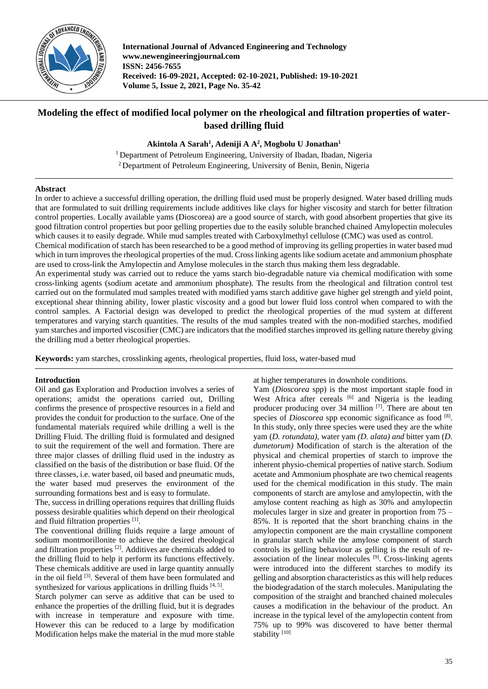

**International Journal of Advanced Engineering and Technology www.newengineeringjournal.com ISSN: 2456-7655 Received: 16-09-2021, Accepted: 02-10-2021, Published: 19-10-2021 Volume 5, Issue 2, 2021, Page No. 35-42**

# **Modeling the effect of modified local polymer on the rheological and filtration properties of waterbased drilling fluid**

**Akintola A Sarah<sup>1</sup> , Adeniji A A<sup>2</sup> , Mogbolu U Jonathan<sup>1</sup>**

<sup>1</sup> Department of Petroleum Engineering, University of Ibadan, Ibadan, Nigeria <sup>2</sup> Department of Petroleum Engineering, University of Benin, Benin, Nigeria

## **Abstract**

In order to achieve a successful drilling operation, the drilling fluid used must be properly designed. Water based drilling muds that are formulated to suit drilling requirements include additives like clays for higher viscosity and starch for better filtration control properties. Locally available yams (Dioscorea) are a good source of starch, with good absorbent properties that give its good filtration control properties but poor gelling properties due to the easily soluble branched chained Amylopectin molecules which causes it to easily degrade. While mud samples treated with Carboxylmethyl cellulose (CMC) was used as control.

Chemical modification of starch has been researched to be a good method of improving its gelling properties in water based mud which in turn improves the rheological properties of the mud. Cross linking agents like sodium acetate and ammonium phosphate are used to cross-link the Amylopectin and Amylose molecules in the starch thus making them less degradable.

An experimental study was carried out to reduce the yams starch bio-degradable nature via chemical modification with some cross-linking agents (sodium acetate and ammonium phosphate). The results from the rheological and filtration control test carried out on the formulated mud samples treated with modified yams starch additive gave higher gel strength and yield point, exceptional shear thinning ability, lower plastic viscosity and a good but lower fluid loss control when compared to with the control samples. A Factorial design was developed to predict the rheological properties of the mud system at different temperatures and varying starch quantities. The results of the mud samples treated with the non-modified starches, modified yam starches and imported viscosifier (CMC) are indicators that the modified starches improved its gelling nature thereby giving the drilling mud a better rheological properties.

**Keywords:** yam starches, crosslinking agents, rheological properties, fluid loss, water-based mud

## **Introduction**

Oil and gas Exploration and Production involves a series of operations; amidst the operations carried out, Drilling confirms the presence of prospective resources in a field and provides the conduit for production to the surface. One of the fundamental materials required while drilling a well is the Drilling Fluid. The drilling fluid is formulated and designed to suit the requirement of the well and formation. There are three major classes of drilling fluid used in the industry as classified on the basis of the distribution or base fluid. Of the three classes, i.e. water based, oil based and pneumatic muds, the water based mud preserves the environment of the surrounding formations best and is easy to formulate.

The, success in drilling operations requires that drilling fluids possess desirable qualities which depend on their rheological and fluid filtration properties [1].

The conventional drilling fluids require a large amount of sodium montmorillonite to achieve the desired rheological and filtration properties [2]. Additives are chemicals added to the drilling fluid to help it perform its functions effectively. These chemicals additive are used in large quantity annually in the oil field [3]. Several of them have been formulated and synthesized for various applications in drilling fluids [4, 5].

Starch polymer can serve as additive that can be used to enhance the properties of the drilling fluid, but it is degrades with increase in temperature and exposure with time. However this can be reduced to a large by modification Modification helps make the material in the mud more stable

at higher temperatures in downhole conditions.

Yam (*Dioscorea* spp) is the most important staple food in West Africa after cereals  $[6]$  and Nigeria is the leading producer producing over 34 million  $\left[7\right]$ . There are about ten species of *Dioscorea* spp economic significance as food [8]. In this study, only three species were used they are the white yam (*D. rotundata)*, water yam *(D. alata) and* bitter yam (*D. dumetorum)* Modification of starch is the alteration of the physical and chemical properties of starch to improve the inherent physio-chemical properties of native starch. Sodium acetate and Ammonium phosphate are two chemical reagents used for the chemical modification in this study. The main components of starch are amylose and amylopectin, with the amylose content reaching as high as 30% and amylopectin molecules larger in size and greater in proportion from 75 – 85%. It is reported that the short branching chains in the amylopectin component are the main crystalline component in granular starch while the amylose component of starch controls its gelling behaviour as gelling is the result of reassociation of the linear molecules  $[9]$ . Cross-linking agents were introduced into the different starches to modify its gelling and absorption characteristics as this will help reduces the biodegradation of the starch molecules. Manipulating the composition of the straight and branched chained molecules causes a modification in the behaviour of the product. An increase in the typical level of the amylopectin content from 75% up to 99% was discovered to have better thermal stability<sup>[10]</sup>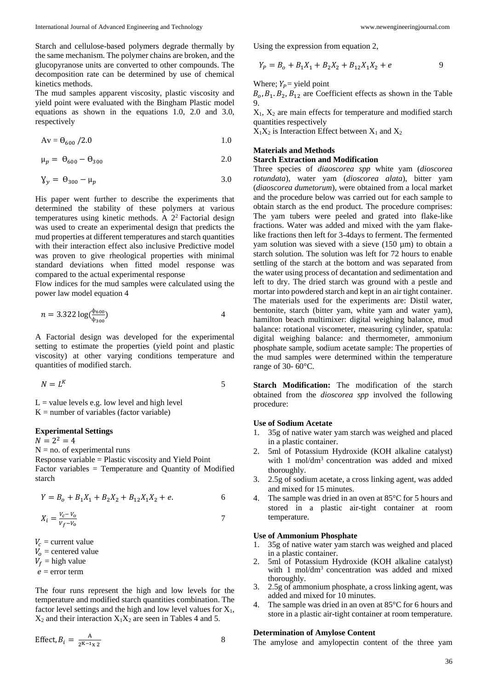Starch and cellulose-based polymers degrade thermally by the same mechanism. The polymer chains are broken, and the glucopyranose units are converted to other compounds. The decomposition rate can be determined by use of chemical kinetics methods.

The mud samples apparent viscosity, plastic viscosity and yield point were evaluated with the Bingham Plastic model equations as shown in the equations 1.0, 2.0 and 3.0, respectively

$$
Av = \Theta_{600} / 2.0 \tag{1.0}
$$

$$
\mu_p = \Theta_{600} - \Theta_{300} \tag{2.0}
$$

$$
Y_y = \Theta_{300} - \mu_p \tag{3.0}
$$

His paper went further to describe the experiments that determined the stability of these polymers at various temperatures using kinetic methods. A  $2<sup>2</sup>$  Factorial design was used to create an experimental design that predicts the mud properties at different temperatures and starch quantities with their interaction effect also inclusive Predictive model was proven to give rheological properties with minimal standard deviations when fitted model response was compared to the actual experimental response

Flow indices for the mud samples were calculated using the power law model equation 4

$$
n = 3.322 \log(\frac{\Phi_{600}}{\Phi_{300}})
$$

A Factorial design was developed for the experimental setting to estimate the properties (yield point and plastic viscosity) at other varying conditions temperature and quantities of modified starch.

$$
N = L^K
$$

 $L =$  value levels e.g. low level and high level  $K =$  number of variables (factor variable)

#### **Experimental Settings**

 $N = 2^2 = 4$ 

 $N = no$ . of experimental runs

Response variable = Plastic viscosity and Yield Point Factor variables = Temperature and Quantity of Modified starch

$$
Y = B_0 + B_1 X_1 + B_2 X_2 + B_{12} X_1 X_2 + e.
$$

$$
X_i = \frac{V_c - V_o}{V_f - V_o} \tag{7}
$$

 $V_c$  = current value

 $V_0$  = centered value

 $V_f$  = high value

 $e =$  error term

The four runs represent the high and low levels for the temperature and modified starch quantities combination. The factor level settings and the high and low level values for  $X_1$ ,  $X_2$  and their interaction  $X_1X_2$  are seen in Tables 4 and 5.

$$
Effect, B_i = \frac{A}{2^{K-1} \times 2} \tag{8}
$$

Using the expression from equation 2,

$$
Y_P = B_o + B_1 X_1 + B_2 X_2 + B_{12} X_1 X_2 + e
$$

Where;  $Y_P$  = yield point

 $B_0$ ,  $B_1$ ,  $B_2$ ,  $B_{12}$  are Coefficient effects as shown in the Table 9.

 $X_1$ ,  $X_2$  are main effects for temperature and modified starch quantities respectively

 $X_1X_2$  is Interaction Effect between  $X_1$  and  $X_2$ 

## **Materials and Methods**

## **Starch Extraction and Modification**

Three species of *diaoscorea spp* white yam (*dioscorea rotundata*), water yam (*dioscorea alata*), bitter yam (*diaoscorea dumetorum*), were obtained from a local market and the procedure below was carried out for each sample to obtain starch as the end product. The procedure comprises: The yam tubers were peeled and grated into flake-like fractions. Water was added and mixed with the yam flakelike fractions then left for 3-4days to ferment. The fermented yam solution was sieved with a sieve (150 µm) to obtain a starch solution. The solution was left for 72 hours to enable settling of the starch at the bottom and was separated from the water using process of decantation and sedimentation and left to dry. The dried starch was ground with a pestle and mortar into powdered starch and kept in an air tight container. The materials used for the experiments are: Distil water, bentonite, starch (bitter yam, white yam and water yam), hamilton beach multimixer: digital weighing balance, mud balance: rotational viscometer, measuring cylinder, spatula: digital weighing balance: and thermometer, ammonium phosphate sample, sodium acetate sample: The properties of the mud samples were determined within the temperature range of 30- 60°C.

**Starch Modification:** The modification of the starch obtained from the *dioscorea spp* involved the following procedure:

### **Use of Sodium Acetate**

- 1. 35g of native water yam starch was weighed and placed in a plastic container.
- 2. 5ml of Potassium Hydroxide (KOH alkaline catalyst) with 1 mol/dm<sup>3</sup> concentration was added and mixed thoroughly.
- 3. 2.5g of sodium acetate, a cross linking agent, was added and mixed for 15 minutes.
- 4. The sample was dried in an oven at 85°C for 5 hours and stored in a plastic air-tight container at room temperature.

#### **Use of Ammonium Phosphate**

- 1. 35g of native water yam starch was weighed and placed in a plastic container.
- 2. 5ml of Potassium Hydroxide (KOH alkaline catalyst) with  $1 \text{ mol/dm}^3$  concentration was added and mixed thoroughly.
- 3. 2.5g of ammonium phosphate, a cross linking agent, was added and mixed for 10 minutes.
- 4. The sample was dried in an oven at 85°C for 6 hours and store in a plastic air-tight container at room temperature.

## **Determination of Amylose Content**

The amylose and amylopectin content of the three yam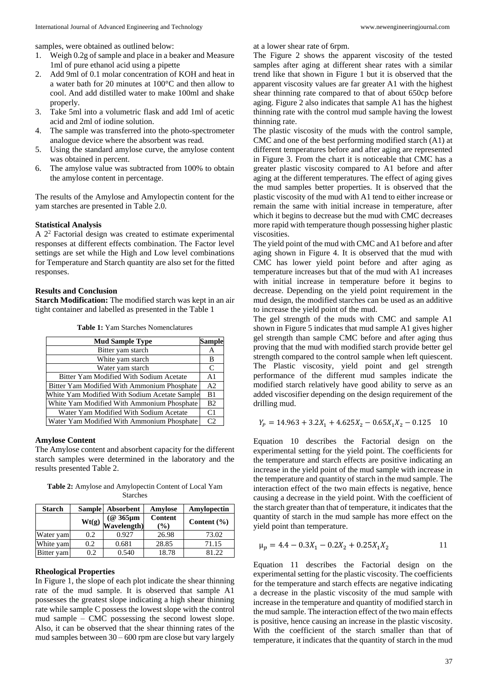- 1. Weigh 0.2g of sample and place in a beaker and Measure 1ml of pure ethanol acid using a pipette
- 2. Add 9ml of 0.1 molar concentration of KOH and heat in a water bath for 20 minutes at 100°C and then allow to cool. And add distilled water to make 100ml and shake properly.
- 3. Take 5ml into a volumetric flask and add 1ml of acetic acid and 2ml of iodine solution.
- 4. The sample was transferred into the photo-spectrometer analogue device where the absorbent was read.
- 5. Using the standard amylose curve, the amylose content was obtained in percent.
- 6. The amylose value was subtracted from 100% to obtain the amylose content in percentage.

The results of the Amylose and Amylopectin content for the yam starches are presented in Table 2.0.

#### **Statistical Analysis**

A 2<sup>2</sup> Factorial design was created to estimate experimental responses at different effects combination. The Factor level settings are set while the High and Low level combinations for Temperature and Starch quantity are also set for the fitted responses.

### **Results and Conclusion**

**Starch Modification:** The modified starch was kept in an air tight container and labelled as presented in the Table 1

| <b>Mud Sample Type</b>                        | <b>Sample</b>  |
|-----------------------------------------------|----------------|
| Bitter yam starch                             | А              |
| White yam starch                              | B              |
| Water yam starch                              | C              |
| Bitter Yam Modified With Sodium Acetate       | A <sub>1</sub> |
| Bitter Yam Modified With Ammonium Phosphate   | A <sub>2</sub> |
| White Yam Modified With Sodium Acetate Sample | B <sub>1</sub> |
| White Yam Modified With Ammonium Phosphate    | B <sub>2</sub> |
| Water Yam Modified With Sodium Acetate        | C <sub>1</sub> |
| Water Yam Modified With Ammonium Phosphate    | C <sub>2</sub> |

**Table 1:** Yam Starches Nomenclatures

#### **Amylose Content**

The Amylose content and absorbent capacity for the different starch samples were determined in the laboratory and the results presented Table 2.

**Table 2:** Amylose and Amylopectin Content of Local Yam Starches

| <b>Starch</b> | <b>Sample</b> | Absorbent                                        | Amylose                  | Amylopectin     |
|---------------|---------------|--------------------------------------------------|--------------------------|-----------------|
|               | Wt(g)         | $\frac{(\textcircled{a} 365 \mu m)}{Wavelength}$ | <b>Content</b><br>$($ %) | Content $(\% )$ |
| Water yam     | 0.2           | 0.927                                            | 26.98                    | 73.02           |
| White yam     | 0.2           | 0.681                                            | 28.85                    | 71.15           |
| Bitter yam    | 0.2           | 0.540                                            | 18.78                    | 81.22           |

#### **Rheological Properties**

In Figure 1, the slope of each plot indicate the shear thinning rate of the mud sample. It is observed that sample A1 possesses the greatest slope indicating a high shear thinning rate while sample C possess the lowest slope with the control mud sample – CMC possessing the second lowest slope. Also, it can be observed that the shear thinning rates of the mud samples between 30 – 600 rpm are close but vary largely

at a lower shear rate of 6rpm.

The Figure 2 shows the apparent viscosity of the tested samples after aging at different shear rates with a similar trend like that shown in Figure 1 but it is observed that the apparent viscosity values are far greater A1 with the highest shear thinning rate compared to that of about 650cp before aging. Figure 2 also indicates that sample A1 has the highest thinning rate with the control mud sample having the lowest thinning rate.

The plastic viscosity of the muds with the control sample, CMC and one of the best performing modified starch (A1) at different temperatures before and after aging are represented in Figure 3. From the chart it is noticeable that CMC has a greater plastic viscosity compared to A1 before and after aging at the different temperatures. The effect of aging gives the mud samples better properties. It is observed that the plastic viscosity of the mud with A1 tend to either increase or remain the same with initial increase in temperature, after which it begins to decrease but the mud with CMC decreases more rapid with temperature though possessing higher plastic viscosities.

The yield point of the mud with CMC and A1 before and after aging shown in Figure 4. It is observed that the mud with CMC has lower yield point before and after aging as temperature increases but that of the mud with A1 increases with initial increase in temperature before it begins to decrease. Depending on the yield point requirement in the mud design, the modified starches can be used as an additive to increase the yield point of the mud.

The gel strength of the muds with CMC and sample A1 shown in Figure 5 indicates that mud sample A1 gives higher gel strength than sample CMC before and after aging thus proving that the mud with modified starch provide better gel strength compared to the control sample when left quiescent. The Plastic viscosity, yield point and gel strength performance of the different mud samples indicate the modified starch relatively have good ability to serve as an added viscosifier depending on the design requirement of the drilling mud.

$$
Y_P = 14.963 + 3.2X_1 + 4.625X_2 - 0.65X_1X_2 - 0.125 \quad 10
$$

Equation 10 describes the Factorial design on the experimental setting for the yield point. The coefficients for the temperature and starch effects are positive indicating an increase in the yield point of the mud sample with increase in the temperature and quantity of starch in the mud sample. The interaction effect of the two main effects is negative, hence causing a decrease in the yield point. With the coefficient of the starch greater than that of temperature, it indicates that the quantity of starch in the mud sample has more effect on the yield point than temperature.

$$
\mu_p = 4.4 - 0.3X_1 - 0.2X_2 + 0.25X_1X_2 \tag{11}
$$

Equation 11 describes the Factorial design on the experimental setting for the plastic viscosity. The coefficients for the temperature and starch effects are negative indicating a decrease in the plastic viscosity of the mud sample with increase in the temperature and quantity of modified starch in the mud sample. The interaction effect of the two main effects is positive, hence causing an increase in the plastic viscosity. With the coefficient of the starch smaller than that of temperature, it indicates that the quantity of starch in the mud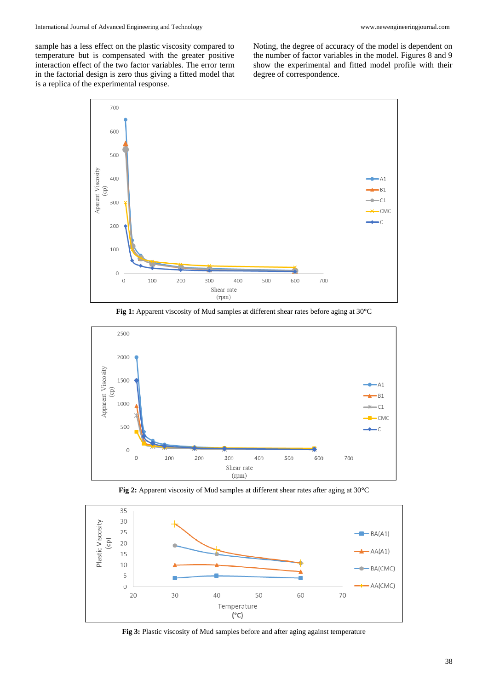sample has a less effect on the plastic viscosity compared to temperature but is compensated with the greater positive interaction effect of the two factor variables. The error term in the factorial design is zero thus giving a fitted model that is a replica of the experimental response.

Noting, the degree of accuracy of the model is dependent on the number of factor variables in the model. Figures 8 and 9 show the experimental and fitted model profile with their degree of correspondence.



**Fig 1:** Apparent viscosity of Mud samples at different shear rates before aging at 30**°**C



**Fig 2:** Apparent viscosity of Mud samples at different shear rates after aging at 30**°**C



**Fig 3:** Plastic viscosity of Mud samples before and after aging against temperature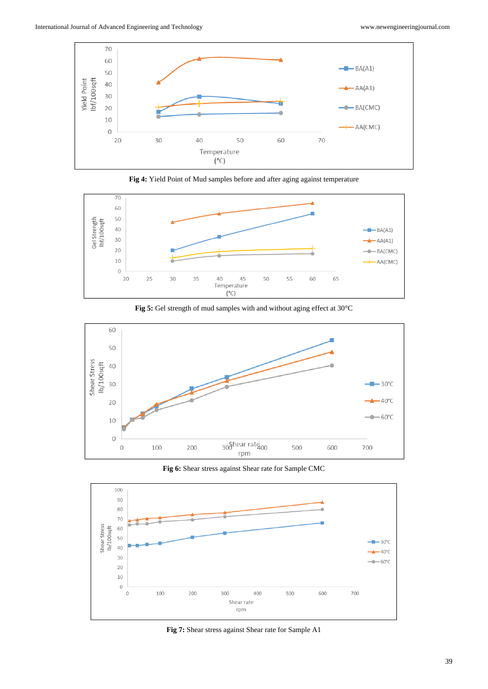









**Fig 6:** Shear stress against Shear rate for Sample CMC



**Fig 7:** Shear stress against Shear rate for Sample A1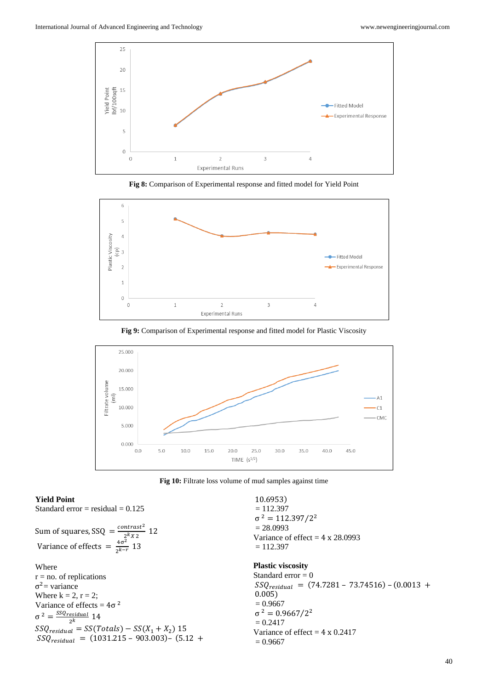

**Fig 8:** Comparison of Experimental response and fitted model for Yield Point



**Fig 9:** Comparison of Experimental response and fitted model for Plastic Viscosity



**Fig 10:** Filtrate loss volume of mud samples against time

## **Yield Point**

Standard error  $=$  residual  $= 0.125$ 

Sum of squares, SSQ = 
$$
\frac{contrast^2}{2^k x^2}
$$
 12  
Variance of effects = 
$$
\frac{4\sigma^2}{2^{k-r}}
$$
 13

Where  $r = no$ . of replications  $σ<sup>2</sup> = variance$ Where  $k = 2$ ,  $r = 2$ ; Variance of effects =  $4\sigma^2$  $\sigma^2 = \frac{SSQ_{residual}}{2k}$  14  $2^k$  $SSQ_{residual} = SS(Totals) - SS(X_1 + X_2)$  15  $SSQ_{residual} = (1031.215 - 903.003) - (5.12 +$ 

10.6953)  $= 112.397$  $σ<sup>2</sup> = 112.397/2<sup>2</sup>$  $= 28.0993$ Variance of effect  $= 4 \times 28.0993$  $= 112.397$ 

## **Plastic viscosity**

Standard  $error = 0$  $SSQ_{residual}$  = (74.7281 – 73.74516) – (0.0013 + 0.005)  $= 0.9667$  $σ<sup>2</sup> = 0.9667/2<sup>2</sup>$  $= 0.2417$ Variance of effect  $= 4 \times 0.2417$  $= 0.9667$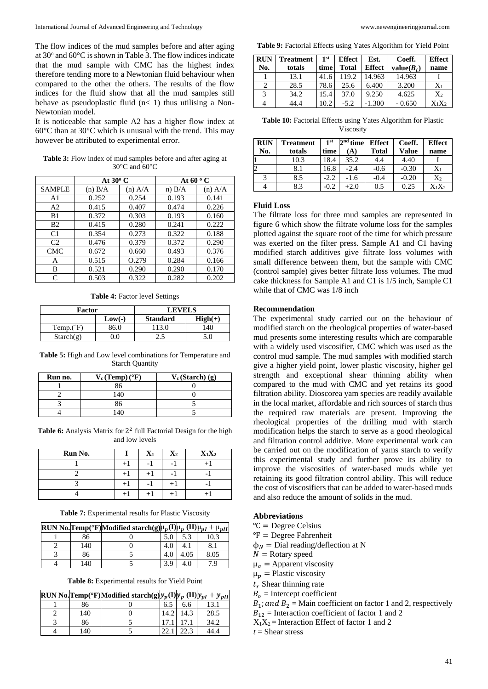The flow indices of the mud samples before and after aging at 30° and 60°C is shown in Table 3. The flow indices indicate that the mud sample with CMC has the highest index therefore tending more to a Newtonian fluid behaviour when compared to the other the others. The results of the flow indices for the fluid show that all the mud samples still behave as pseudoplastic fluid  $(n< 1)$  thus utilising a Non-Newtonian model.

It is noticeable that sample A2 has a higher flow index at 60°C than at 30°C which is unusual with the trend. This may however be attributed to experimental error.

**Table 3:** Flow index of mud samples before and after aging at 30°C and 60°C

|                             | At $30^{\circ}$ C |           | At 60 $\rm ^{o}$ C |           |
|-----------------------------|-------------------|-----------|--------------------|-----------|
| <b>SAMPLE</b>               | $(n)$ $B/A$       | $(n)$ A/A | n) B/A             | $(n)$ A/A |
| A <sub>1</sub>              | 0.252             | 0.254     | 0.193              | 0.141     |
| A2                          | 0.415             | 0.407     | 0.474              | 0.226     |
| B1                          | 0.372             | 0.303     | 0.193              | 0.160     |
| B <sub>2</sub>              | 0.415             | 0.280     | 0.241              | 0.222     |
| C <sub>1</sub>              | 0.354             | 0.273     | 0.322              | 0.188     |
| C <sub>2</sub>              | 0.476             | 0.379     | 0.372              | 0.290     |
| <b>CMC</b>                  | 0.672             | 0.660     | 0.493              | 0.376     |
| А                           | 0.515             | O.279     | 0.284              | 0.166     |
| В                           | 0.521             | 0.290     | 0.290              | 0.170     |
| $\mathcal{C}_{\mathcal{C}}$ | 0.503             | 0.322     | 0.282              | 0.202     |

**Table 4:** Factor level Settings

| Factor    |          | <b>LEVELS</b>   |                    |
|-----------|----------|-----------------|--------------------|
|           | $Low(-)$ | <b>Standard</b> | $\textbf{High}(+)$ |
| Temp.(°F) | 86.0     | 113.0           | 140                |
| Starch(g) | 0.0      | 2.J             | 5.0                |

**Table 5:** High and Low level combinations for Temperature and Starch Quantity

| Run no. | $V_c$ (Temp) ( $\rm{^{\circ}F}$ ) | $V_c$ (Starch) (g) |
|---------|-----------------------------------|--------------------|
|         |                                   |                    |
|         | 40                                |                    |
|         |                                   |                    |
|         |                                   |                    |

Table 6: Analysis Matrix for 2<sup>2</sup> full Factorial Design for the high and low levels

| Run No. |       | $\mathbf{X}_1$ | $\mathbf{X}_2$ | $X_1X_2$ |
|---------|-------|----------------|----------------|----------|
|         |       |                | -              |          |
|         | $+$ , |                | -              |          |
|         | $+1$  |                | $+1$           |          |
|         | $+$ 1 |                | +              |          |

**Table 7:** Experimental results for Plastic Viscosity

|     | RUN No. Temp(°F) Modified starch(g) $\mu_p(I) \mu_p(I) \mu_{pI} + \mu_{pII}$ |     |      |      |
|-----|------------------------------------------------------------------------------|-----|------|------|
| 86  |                                                                              |     | 5.3  | 10.3 |
| 140 |                                                                              |     |      |      |
| 86  |                                                                              | 4.0 | 4.05 | 8.05 |
| 140 |                                                                              | 3.9 | 4.0  | 7 Q  |

**Table 8:** Experimental results for Yield Point

|     | RUN No. Temp(°F)Modified starch(g) $y_p(I)y_p (II)y_{pI} + y_{pII}$ |      |      |      |
|-----|---------------------------------------------------------------------|------|------|------|
| 86  |                                                                     | 6.5  | 6.6  | 13.1 |
| 140 |                                                                     | 14.2 | 14.3 | 28.5 |
| 86  |                                                                     |      |      | 34.2 |
| 140 |                                                                     |      |      | 44.4 |

**Table 9:** Factorial Effects using Yates Algorithm for Yield Point

| <b>RUN</b> | <b>Treatment</b> | 1 <sup>st</sup> | <b>Effect</b> | Est.          | Coeff.       | <b>Effect</b>  |
|------------|------------------|-----------------|---------------|---------------|--------------|----------------|
| No.        | totals           | time            | <b>Total</b>  | <b>Effect</b> | $value(B_i)$ | name           |
|            | 13.1             | 41.6            | 119.2         | 14.963        | 14.963       |                |
|            | 28.5             | 78.6            | 25.6          | 6.400         | 3.200        | $X_1$          |
|            | 34.2             | 15.4            | 37.0          | 9.250         | 4.625        | X <sub>2</sub> |
|            | 14.4             | 10.2            | $-5.2$        | $-1.300$      | $-0.650$     | $X_1X_2$       |

**Table 10:** Factorial Effects using Yates Algorithm for Plastic Viscosity

| <b>RUN</b> | Treatment | 1 <sup>st</sup> | $2nd$ time | <b>Effect</b> | Coeff.  | <b>Effect</b>  |
|------------|-----------|-----------------|------------|---------------|---------|----------------|
| No.        | totals    | time            | A          | Total         | Value   | name           |
|            | 10.3      | 18.4            | 35.2       | 4.4           | 4.40    |                |
|            | 8.1       | 16.8            | $-2.4$     | $-0.6$        | $-0.30$ | $\mathrm{X}_1$ |
|            | 8.5       | -2.2            | -1.6       | $-0.4$        | $-0.20$ | $X_2$          |
|            | 8.3       | -0.2            | $+2.0$     | 0.5           | 0.25    | $\rm X_1X_2$   |

### **Fluid Loss**

The filtrate loss for three mud samples are represented in figure 6 which show the filtrate volume loss for the samples plotted against the square root of the time for which pressure was exerted on the filter press. Sample A1 and C1 having modified starch additives give filtrate loss volumes with small difference between them, but the sample with CMC (control sample) gives better filtrate loss volumes. The mud cake thickness for Sample A1 and C1 is 1/5 inch, Sample C1 while that of CMC was 1/8 inch

#### **Recommendation**

The experimental study carried out on the behaviour of modified starch on the rheological properties of water-based mud presents some interesting results which are comparable with a widely used viscosifier, CMC which was used as the control mud sample. The mud samples with modified starch give a higher yield point, lower plastic viscosity, higher gel strength and exceptional shear thinning ability when compared to the mud with CMC and yet retains its good filtration ability. Dioscorea yam species are readily available in the local market, affordable and rich sources of starch thus the required raw materials are present. Improving the rheological properties of the drilling mud with starch modification helps the starch to serve as a good rheological and filtration control additive. More experimental work can be carried out on the modification of yams starch to verify this experimental study and further prove its ability to improve the viscosities of water-based muds while yet retaining its good filtration control ability. This will reduce the cost of viscosifiers that can be added to water-based muds and also reduce the amount of solids in the mud.

#### **Abbreviations**

- $°C = Degree Celsius$
- ${}^{\circ}$ F = Degree Fahrenheit
- $\phi_N$  = Dial reading/deflection at N
- $N =$  Rotary speed
- $\mu_a$  = Apparent viscosity
- $\mu_n$  = Plastic viscosity
- $t_r$  Shear thinning rate
- $B<sub>o</sub>$  = Intercept coefficient

 $B_1$ ; and  $B_2$  = Main coefficient on factor 1 and 2, respectively

- $B_{12}$  = Interaction coefficient of factor 1 and 2
- $X_1X_2$  = Interaction Effect of factor 1 and 2

*t* = Shear stress